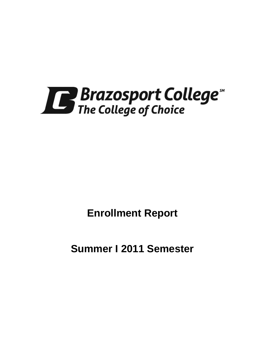

**Enrollment Report** 

**Summer I 2011 Semester**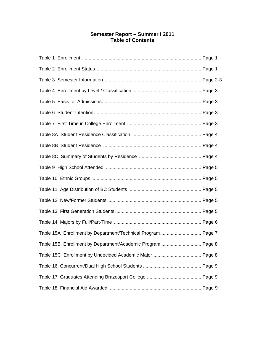# **Semester Report – Summer I 2011 Table of Contents**

| Table 15A Enrollment by Department/Technical Program Page 7 |
|-------------------------------------------------------------|
| Table 15B Enrollment by Department/Academic Program  Page 8 |
|                                                             |
|                                                             |
|                                                             |
|                                                             |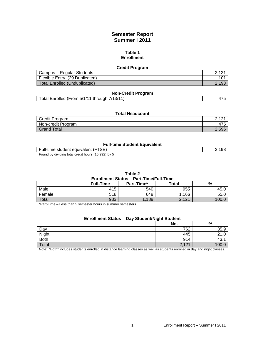# **Semester Report Summer I 2011**

#### **Table 1 Enrollment**

| <b>Credit Program</b>          |       |  |
|--------------------------------|-------|--|
| Campus – Regular Students      |       |  |
| Flexible Entry (29 Duplicated) | 101   |  |
| Total Enrolled (Unduplicated)  | 2.193 |  |

| <b>Non-Credit Program</b>                    |  |
|----------------------------------------------|--|
| Total Enrolled (From 5/1/11 through 7/13/11) |  |

#### **Total Headcount**

| Credit Program     | ົາ ເຕະ<br><u>_</u> |
|--------------------|--------------------|
| Non-credit Program | 475                |
| Grand Total        | 2.596              |

#### **Full-time Student Equivalent**

| Full-time student equivalent (FTSE)                |  |
|----------------------------------------------------|--|
| Found by dividing total credit hours (10,992) by 5 |  |

 $\delta$ y dividing total credit hours (10,992) by

#### **Table 2**

**Enrollment Status Part-Time/Full-Time** 

|        | <b>Full-Time</b> | Part-Time* | <b>Total</b> | %                |
|--------|------------------|------------|--------------|------------------|
| Male   | 415              | 540        | 955          | ∟45              |
| Female | 518              | 648        | ,166         | 55.0             |
| Total  | 933              | .188       | 2,121        | 100 <sub>l</sub> |

\*Part-Time – Less than 5 semester hours in summer semesters.

## **Enrollment Status Day Student/Night Student**

|       | No.                   | $\%$ |
|-------|-----------------------|------|
| Day   | 762                   | 35.9 |
| Night | 445                   |      |
| Both  | 914                   | 40.  |
| Total | 121<br>$\sim$<br>14 L |      |

Note: "Both" includes students enrolled in distance learning classes as well as students enrolled in day and night classes.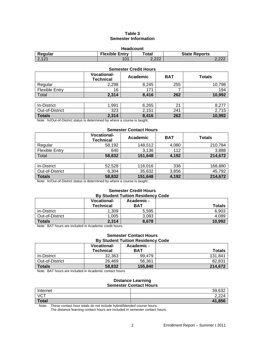### **Table 3 Semester Information**

| <b>Headcount</b> |                       |       |                      |  |
|------------------|-----------------------|-------|----------------------|--|
| Regular          | <b>Flexible Entry</b> | ™otal | <b>State Reports</b> |  |
| 12.121           | 101                   | 2.222 | ימה ח<br>L, L L      |  |

### **Semester Credit Hours**

|                       | <b>Vocational-</b><br><b>Technical</b> | Academic | <b>BAT</b> | <b>Totals</b> |
|-----------------------|----------------------------------------|----------|------------|---------------|
| Regular               | 2,298                                  | 8,245    | 255        | 10,798        |
| <b>Flexible Entry</b> | 16                                     | 171      |            | 194           |
| Total                 | 2,314                                  | 8,416    | 262        | 10,992        |
|                       |                                        |          |            |               |
| In-District           | 1,991                                  | 6,265    | 21         | 8,277         |
| Out-of-District       | 323                                    | 2,151    | 241        | 2,715         |
| <b>Totals</b>         | 2,314                                  | 8,416    | 262        | 10,992        |

Note: In/Out-of-District status is determined by where a course is taught.

### **Semester Contact Hours**

|                       | <b>Vocational-</b><br><b>Technical</b> | Academic | <b>BAT</b> | <b>Totals</b> |
|-----------------------|----------------------------------------|----------|------------|---------------|
| Regular               | 58,192                                 | 148,512  | 4,080      | 210,784       |
| <b>Flexible Entry</b> | 640                                    | 3,136    | 112        | 3,888         |
| Total                 | 58,832                                 | 151,648  | 4,192      | 214,672       |
|                       |                                        |          |            |               |
| In-District           | 52,528                                 | 116,016  | 336        | 168,880       |
|                       |                                        |          |            |               |

| $\mathbf{r}$ . The state of $\mathbf{r}$<br>.<br>. |           |                    |            |          |
|----------------------------------------------------|-----------|--------------------|------------|----------|
| <b>Totals</b>                                      | 58,832    | .648<br>151        | 102<br>19Z | 0.70     |
| <b>District</b><br>Out-of-D                        | 5,304     | ຂາ<br>25<br>30.03Z | 3,856      | 792      |
| .                                                  | --------- | .                  | ---        | -------- |

Note: In/Out-of-District status is determined by where a course is taught.

#### **Semester Credit Hours By Student Tuition Residency Code**

|                 | <b>Vocational-</b><br><b>Technical</b> | Academic -<br><b>BAT</b> | <b>Totals</b> |
|-----------------|----------------------------------------|--------------------------|---------------|
| In-District     | 1.309                                  | 5.595                    | 6,903         |
| Out-of-District | 1,005                                  | 3,083                    | 4,089         |
| <b>Totals</b>   | 2,314                                  | 8.678                    | 10,992        |

Note: BAT hours are included in Academic credit hours.

#### **Semester Contact Hours By Student Tuition Residency Code**

| <u>pi vuuvin tunivittivuuviivi vvuv</u> |                    |            |               |  |  |  |  |
|-----------------------------------------|--------------------|------------|---------------|--|--|--|--|
|                                         | <b>Vocational-</b> | Academic - |               |  |  |  |  |
|                                         | <b>Technical</b>   | <b>BAT</b> | <b>Totals</b> |  |  |  |  |
| In-District                             | 32,363             | 99.479     | 131.841       |  |  |  |  |
| Out-of-District                         | 26,469             | 56.361     | 82.831        |  |  |  |  |
| <b>Totals</b>                           | 58,832             | 155,840    | 214,672       |  |  |  |  |

Note: BAT hours are included in Academic contact hours.

#### **Distance Learning Semester Contact Hours**

|              | <u> Juliustul Juliust livulu</u> |
|--------------|----------------------------------|
| Internet     | 39,632<br>ے⊙0. ⁄                 |
| VCT          | 2,224                            |
| <b>Total</b> | 41,856                           |

Note: These contact hour totals do not include hybrid/blended course hours.

The distance learning contact hours are included in semester contact hours.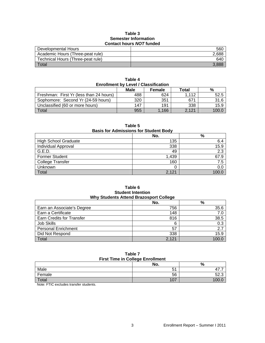#### **Table 3 Semester Information Contact hours** *NOT* **funded**

| <u> Juliaul IIualu IIU Laliau </u> |       |  |  |
|------------------------------------|-------|--|--|
| Developmental Hours                | 560   |  |  |
| Academic Hours (Three-peat rule)   | 2,688 |  |  |
| Technical Hours (Three-peat rule)  | 640   |  |  |
| Total                              |       |  |  |

| <b>Enrollment by Level / Classification</b> |     |       |       |       |  |  |  |
|---------------------------------------------|-----|-------|-------|-------|--|--|--|
| <b>Male</b><br>Total<br>%<br><b>Female</b>  |     |       |       |       |  |  |  |
| Freshman: First Yr (less than 24 hours)     | 488 | 624   | 1.112 | 52.5  |  |  |  |
| Sophomore: Second Yr (24-59 hours)          | 320 | 351   | 671   | 31.6  |  |  |  |
| Unclassified (60 or more hours)             | 147 | 191   | 338   | 15.9  |  |  |  |
| <b>Total</b>                                | 955 | 1.166 | 2.121 | 100.0 |  |  |  |

**Table 4** 

| Table 5<br><b>Basis for Admissions for Student Body</b> |       |       |  |  |
|---------------------------------------------------------|-------|-------|--|--|
|                                                         | No.   | %     |  |  |
| <b>High School Graduate</b>                             | 135   | 6.4   |  |  |
| <b>Individual Approval</b>                              | 338   | 15.9  |  |  |
| G.E.D.                                                  | 49    | 2.3   |  |  |
| <b>Former Student</b>                                   | 1,439 | 67.9  |  |  |
| <b>College Transfer</b>                                 | 160   | 7.5   |  |  |
| Unknown                                                 | 0     | 0.0   |  |  |
| Total                                                   | 2.121 | 100.0 |  |  |

#### **Table 6 Student Intention Why Students Attend Brazosport College**

|                            | No.   | %     |  |
|----------------------------|-------|-------|--|
| Earn an Associate's Degree | 756   | 35.6  |  |
| Earn a Certificate         | 148   | 7.0   |  |
| Earn Credits for Transfer  | 816   | 38.5  |  |
| Job Skills                 | 6     | 0.3   |  |
| <b>Personal Enrichment</b> | 57    | 2.7   |  |
| Did Not Respond            | 338   | 15.9  |  |
| Total                      | 2,121 | 100.0 |  |

#### **Table 7 First Time in College Enrollment**

| $\ldots$ . $\ldots$ . $\ldots$ $\ldots$ $\ldots$ . $\ldots$ |     |                  |  |
|-------------------------------------------------------------|-----|------------------|--|
|                                                             | No. | %                |  |
| Male                                                        | 51  | 47<br>. .        |  |
| Female                                                      | 56  | -0<br>ົ<br>ن. 2ن |  |
| Total                                                       | 107 | vv.v             |  |
|                                                             |     |                  |  |

Note: FTIC excludes transfer students.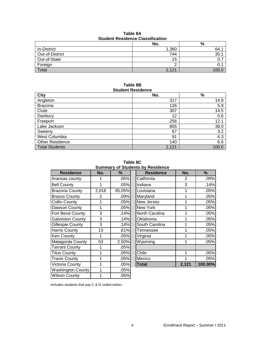| Table 8A                                |  |  |  |  |
|-----------------------------------------|--|--|--|--|
| <b>Student Residence Classification</b> |  |  |  |  |

|                 | No.   | %   |
|-----------------|-------|-----|
| In-District     | 1,360 | 64. |
| Out-of-District | 744   | 35. |
| Out-of-State    | 15    |     |
| Foreign         |       |     |
| Total           | 2,121 |     |

#### **Table 8B Student Residence**

| 0000011011001001100    |       |       |  |  |  |
|------------------------|-------|-------|--|--|--|
| City                   | No.   | $\%$  |  |  |  |
| Angleton               | 317   | 14.9  |  |  |  |
| <b>Brazoria</b>        | 126   | 5.9   |  |  |  |
| Clute                  | 307   | 14.5  |  |  |  |
| Danbury                | 12    | 0.6   |  |  |  |
| Freeport               | 256   | 12.1  |  |  |  |
| Lake Jackson           | 805   | 38.0  |  |  |  |
| Sweeny                 | 67    | 3.2   |  |  |  |
| West Columbia          | 91    | 4.3   |  |  |  |
| <b>Other Residence</b> | 140   | 6.6   |  |  |  |
| Total Students         | 2,121 | 100.0 |  |  |  |

**Table 8C Summary of Students by Residence** 

| <b>Residence</b>         | No.   | %      | <b>Sullillial y Of Studefits by Residence</b><br><b>Residence</b> | No.   | %       |
|--------------------------|-------|--------|-------------------------------------------------------------------|-------|---------|
| Aransas county           |       | .05%   | California                                                        | 2     | .09%    |
| <b>Bell County</b>       | 1     | .05%   | Indiana                                                           | 3     | .14%    |
| <b>Brazoria County</b>   | 2,016 | 95.05% | Louisiana                                                         | 1     | .05%    |
| <b>Brazos County</b>     | 2     | .09%   | Maryland                                                          | 1     | .05%    |
| <b>Collin County</b>     | 1     | .05%   | New Jersey                                                        | 1     | .05%    |
| Dawson County            | 1     | .05%   | New York                                                          | 1     | .05%    |
| Fort Bend County         | 3     | .14%   | North Carolina                                                    | 1     | .05%    |
| <b>Galveston County</b>  | 3     | .14%   | Oklahoma                                                          | 1     | .05%    |
| <b>Gillespie County</b>  | 3     | .14%   | South Carolina                                                    | 1     | .05%    |
| <b>Harris County</b>     | 13    | .61%   | Tennessee                                                         | 1     | .05%    |
| <b>Kerr County</b>       | 1     | .05%   | Virginia                                                          | 1     | .05%    |
| Matagorda County         | 53    | 2.50%  | Wyoming                                                           | 1     | .05%    |
| <b>Tarrant County</b>    | 1     | .05%   |                                                                   |       |         |
| <b>Titus County</b>      | 1     | .05%   | Chile                                                             | 1     | .05%    |
| <b>Travis County</b>     | 1     | .05%   | Mexico                                                            | 1     | .05%    |
| Victoria County          | 1     | .05%   | <b>Total</b>                                                      | 2,121 | 100.00% |
| <b>Washington County</b> |       | .05%   |                                                                   |       |         |
| <b>Wilson County</b>     |       | .05%   |                                                                   |       |         |

| <b>Residence</b>   | No.   | %      | <b>Residence</b> | No.   | %       |
|--------------------|-------|--------|------------------|-------|---------|
| isas county        |       | .05%   | California       | 2     | .09%    |
| County             |       | .05%   | Indiana          | 3     | .14%    |
| oria County        | 2,016 | 95.05% | Louisiana        | 1     | .05%    |
| os County          | 2     | .09%   | Maryland         | 1     | .05%    |
| n County           |       | .05%   | New Jersey       | 1     | .05%    |
| son County         |       | .05%   | New York         | 1     | .05%    |
| <b>Bend County</b> | 3     | .14%   | North Carolina   | 1     | .05%    |
| eston County       | 3     | .14%   | Oklahoma         | 1     | .05%    |
| spie County        | 3     | .14%   | South Carolina   | 1     | .05%    |
| is County          | 13    | .61%   | Tennessee        | 1     | .05%    |
| County             |       | .05%   | Virginia         | 1     | .05%    |
| agorda County      | 53    | 2.50%  | Wyoming          | 1     | .05%    |
| ant County         |       | .05%   |                  |       |         |
| <b>County</b>      |       | .05%   | Chile            | 1     | .05%    |
| is County          |       | .05%   | Mexico           |       | .05%    |
| oria County        |       | .05%   | <b>Total</b>     | 2,121 | 100.00% |

Includes students that pay C & D coded tuition.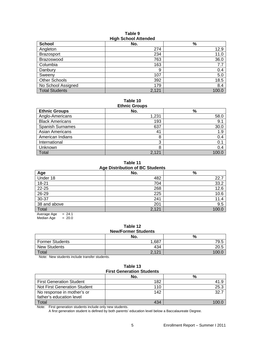#### **Table 9 High School Attended**

|                       | .     |       |
|-----------------------|-------|-------|
| <b>School</b>         | No.   | %     |
| Angleton              | 274   | 12.9  |
| Brazosport            | 234   | 11.0  |
| Brazoswood            | 763   | 36.0  |
| Columbia              | 163   | 7.7   |
| Danbury               | 9     | 0.4   |
| Sweeny                | 107   | 5.0   |
| <b>Other Schools</b>  | 392   | 18.5  |
| No School Assigned    | 179   | 8.4   |
| <b>Total Students</b> | 2,121 | 100.0 |

# **Table 10**

| <b>Ethnic Groups</b>    |       |       |  |  |
|-------------------------|-------|-------|--|--|
| <b>Ethnic Groups</b>    | No.   | $\%$  |  |  |
| Anglo-Americans         | 1,231 | 58.0  |  |  |
| <b>Black Americans</b>  | 193   | 9.1   |  |  |
| <b>Spanish Surnames</b> | 637   | 30.0  |  |  |
| Asian Americans         | 41    | 1.9   |  |  |
| American Indians        | 8     | 0.4   |  |  |
| International           | З     | 0.1   |  |  |
| Unknown                 | 8     | 0.4   |  |  |
| Total                   | 2.121 | 100.0 |  |  |

**Table 11 Age Distribution of BC Students** 

| ີ<br>Age     | No.   | $\%$  |
|--------------|-------|-------|
| Under 18     | 482   | 22.7  |
| $18 - 21$    | 704   | 33.2  |
| $22 - 25$    | 268   | 12.6  |
| 26-29        | 225   | 10.6  |
| 30-37        | 241   | 11.4  |
| 38 and above | 201   | 9.5   |
| Total        | 2,121 | 100.0 |

 $Average Age = 24.1$  $Median Age = 20.0$ 

#### **Table 12 New/Former Students**

|                        | <b>INGWIFULITEL OLUUGIILS</b><br>No. | %    |
|------------------------|--------------------------------------|------|
| <b>Former Students</b> | 1,687                                | 79.5 |
| <b>New Students</b>    | 434                                  | 20.5 |
| Total                  | 2,121                                |      |

Note: New students include transfer students.

| <b>First Generation Students</b> | Table 13 |  |  |  |  |
|----------------------------------|----------|--|--|--|--|
|                                  |          |  |  |  |  |

|                                 | No. | %     |
|---------------------------------|-----|-------|
| <b>First Generation Student</b> | 182 |       |
| Not First Generation Student    | 110 | 25.3  |
| No response in mother's or      | 142 | -32.7 |
| father's education level        |     |       |
| Total                           | 434 | 100.  |

Note: First generation students include only new students.

A first generation student is defined by both parents' education level below a Baccalaureate Degree.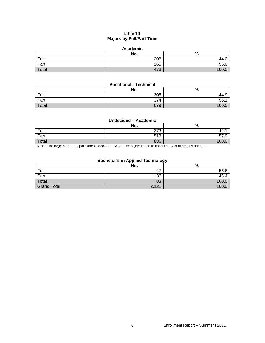# **Table 14 Majors by Full/Part-Time**

#### **Academic**

|       | No. | $\Omega$<br>70 |
|-------|-----|----------------|
| Full  | 208 | 44.U           |
| Part  | 265 | 56.0           |
| Total | 473 | 1000           |

### **Vocational - Technical**

|       | No. | $\Omega$<br>70 |
|-------|-----|----------------|
| Full  | 305 | 44.১           |
| Part  | 374 | 55.            |
| Total | 679 | 100 $0$        |

## **Undecided – Academic**

|       | No. | $\Omega$<br>70    |
|-------|-----|-------------------|
| Full  | 373 | $\sim$<br>т∠.     |
| Part  | 513 | $-1$<br>∽<br>57.9 |
| Total | 886 | 1 $\cap$          |

Note: The large number of part-time Undecided - Academic majors is due to concurrent / dual credit students.

## **Bachelor's in Applied Technology**

|                    | No.   | --<br>% |
|--------------------|-------|---------|
| Full               | 47    | 56.6    |
| Part               | 36    | 43.4    |
| Total              | 83    | 100.1   |
| <b>Grand Total</b> | 2,121 | 100.6   |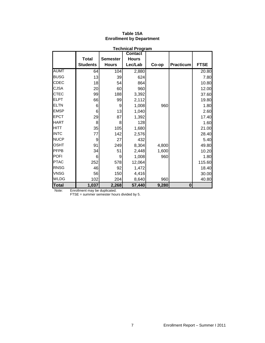| <b>Technical Program</b> |                 |                 |                |       |                  |             |
|--------------------------|-----------------|-----------------|----------------|-------|------------------|-------------|
|                          |                 |                 | <b>Contact</b> |       |                  |             |
|                          | <b>Total</b>    | <b>Semester</b> | <b>Hours</b>   |       |                  |             |
|                          | <b>Students</b> | <b>Hours</b>    | Lec/Lab        | Co-op | <b>Practicum</b> | <b>FTSE</b> |
| <b>AUMT</b>              | 64              | 104             | 2,880          |       |                  | 20.80       |
| <b>BUSG</b>              | 13              | 39              | 624            |       |                  | 7.80        |
| <b>CDEC</b>              | 18              | 54              | 864            |       |                  | 10.80       |
| <b>CJSA</b>              | 20              | 60              | 960            |       |                  | 12.00       |
| <b>CTEC</b>              | 99              | 188             | 3,392          |       |                  | 37.60       |
| <b>ELPT</b>              | 66              | 99              | 2,112          |       |                  | 19.80       |
| <b>ELTN</b>              | 6               | 9               | 1,008          | 960   |                  | 1.80        |
| <b>EMSP</b>              | 6               | 13              | 1,040          |       |                  | 2.60        |
| <b>EPCT</b>              | 29              | 87              | 1,392          |       |                  | 17.40       |
| <b>HART</b>              | 8               | 8               | 128            |       |                  | 1.60        |
| <b>HITT</b>              | 35              | 105             | 1,680          |       |                  | 21.00       |
| <b>INTC</b>              | 77              | 142             | 2,576          |       |                  | 28.40       |
| <b>NUCP</b>              | 9               | 27              | 432            |       |                  | 5.40        |
| <b>OSHT</b>              | 91              | 249             | 8,304          | 4,800 |                  | 49.80       |
| <b>PFPB</b>              | 34              | 51              | 2,448          | 1,600 |                  | 10.20       |
| <b>POFI</b>              | 6               | 9               | 1,008          | 960   |                  | 1.80        |
| <b>PTAC</b>              | 252             | 578             | 12,064         |       |                  | 115.60      |
| <b>RNSG</b>              | 46              | 92              | 1,472          |       |                  | 18.40       |
| <b>VNSG</b>              | 56              | 150             | 4,416          |       |                  | 30.00       |
| <b>WLDG</b>              | 102             | 204             | 8,640          | 960   |                  | 40.80       |
| <b>Total</b>             | 1,037           | 2,268           | 57,440         | 9,280 | $\bf{0}$         |             |

# **Table 15A Enrollment by Department**

Note: Enrollment may be duplicated.

FTSE = summer semester hours divided by 5.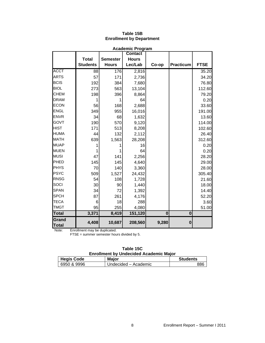| <b>Academic Program</b> |                 |                  |                |          |           |             |
|-------------------------|-----------------|------------------|----------------|----------|-----------|-------------|
|                         |                 |                  | <b>Contact</b> |          |           |             |
|                         | <b>Total</b>    | <b>Semester</b>  | <b>Hours</b>   |          |           |             |
|                         | <b>Students</b> | <b>Hours</b>     | Lec/Lab        | Co-op    | Practicum | <b>FTSE</b> |
| <b>ACCT</b>             | 88              | $\overline{176}$ | 2,816          |          |           | 35.20       |
| <b>ARTS</b>             | 57              | 171              | 2,736          |          |           | 34.20       |
| <b>BCIS</b>             | 192             | 384              | 7,680          |          |           | 76.80       |
| <b>BIOL</b>             | 273             | 563              | 13,104         |          |           | 112.60      |
| <b>CHEM</b>             | 198             | 396              | 8,864          |          |           | 79.20       |
| <b>DRAM</b>             |                 |                  | 64             |          |           | 0.20        |
| <b>ECON</b>             | 56              | 168              | 2,688          |          |           | 33.60       |
| <b>ENGL</b>             | 349             | 955              | 16,016         |          |           | 191.00      |
| <b>ENVR</b>             | 34              | 68               | 1,632          |          |           | 13.60       |
| <b>GOVT</b>             | 190             | 570              | 9,120          |          |           | 114.00      |
| <b>HIST</b>             | 171             | 513              | 8,208          |          |           | 102.60      |
| <b>HUMA</b>             | 44              | 132              | 2,112          |          |           | 26.40       |
| <b>MATH</b>             | 639             | 1,563            | 28,208         |          |           | 312.60      |
| <b>MUAP</b>             |                 |                  | 16             |          |           | 0.20        |
| <b>MUEN</b>             |                 |                  | 64             |          |           | 0.20        |
| <b>MUSI</b>             | 47              | 141              | 2,256          |          |           | 28.20       |
| PHED                    | 145             | 145              | 4,640          |          |           | 29.00       |
| PHYS                    | 70              | 140              | 3,360          |          |           | 28.00       |
| <b>PSYC</b>             | 509             | 1,527            | 24,432         |          |           | 305.40      |
| <b>RNSG</b>             | 54              | 108              | 1,728          |          |           | 21.60       |
| <b>SOCI</b>             | 30              | 90               | 1,440          |          |           | 18.00       |
| <b>SPAN</b>             | 34              | 72               | 1,392          |          |           | 14.40       |
| <b>SPCH</b>             | 87              | 261              | 4,176          |          |           | 52.20       |
| <b>TECA</b>             | 6               | 18               | 288            |          |           | 3.60        |
| <b>TMGT</b>             | 95              | 255              | 4,080          |          |           | 51.00       |
| <b>Total</b>            | 3,371           | 8,419            | 151,120        | $\bf{0}$ | $\bf{0}$  |             |
| Grand<br><b>Total</b>   | 4,408           | 10,687           | 208,560        | 9,280    | $\bf{0}$  |             |

# **Table 15B Enrollment by Department**

Note: Enrollment may be duplicated.

FTSE = summer semester hours divided by 5.

|  | Table 15C                    |  |
|--|------------------------------|--|
|  | mant hy I Indonidad Academia |  |

| <b>Enrollment by Undecided Academic Major</b> |                      |                 |  |  |  |
|-----------------------------------------------|----------------------|-----------------|--|--|--|
| <b>Hegis Code</b>                             | <b>Major</b>         | <b>Students</b> |  |  |  |
| 6950 & 9996                                   | Undecided – Academic | 886             |  |  |  |